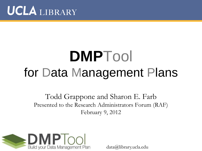

# **DMP**Tool for Data Management Plans

Todd Grappone and Sharon E. Farb Presented to the Research Administrators Forum (RAF) February 9, 2012



data@library.ucla.edu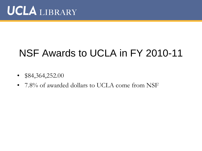### NSF Awards to UCLA in FY 2010-11

- $$84,364,252.00$
- 7.8% of awarded dollars to UCLA come from NSF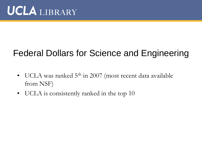### Federal Dollars for Science and Engineering

- UCLA was ranked 5<sup>th</sup> in 2007 (most recent data available from NSF)
- UCLA is consistently ranked in the top 10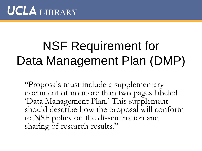# NSF Requirement for Data Management Plan (DMP)

"Proposals must include a supplementary document of no more than two pages labeled "Data Management Plan." This supplement should describe how the proposal will conform to NSF policy on the dissemination and sharing of research results."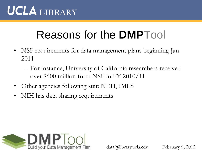### Reasons for the **DMP**Tool

- NSF requirements for data management plans beginning Jan 2011
	- For instance, University of California researchers received over \$600 million from NSF in FY 2010/11
- Other agencies following suit: NEH, IMLS
- NIH has data sharing requirements

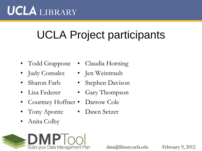# UCLA Project participants

- Todd Grappone Claudia Horning
- Judy Consales Jen Weintraub
- Sharon Farb
- Lisa Federer
- Courtney Hoffner Darrow Cole
- Tony Aponte Dawn Setzer
- Anita Colby
- 
- 
- Stephen Davison
- Gary Thompson
- 

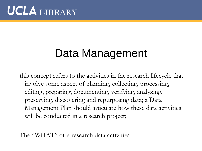### Data Management

this concept refers to the activities in the research lifecycle that involve some aspect of planning, collecting, processing, editing, preparing, documenting, verifying, analyzing, preserving, discovering and repurposing data; a Data Management Plan should articulate how these data activities will be conducted in a research project;

The "WHAT" of e-research data activities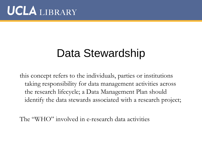### Data Stewardship

this concept refers to the individuals, parties or institutions taking responsibility for data management activities across the research lifecycle; a Data Management Plan should identify the data stewards associated with a research project;

The "WHO" involved in e-research data activities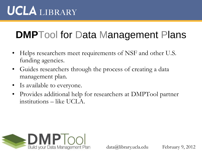### **DMP**Tool for Data Management Plans

- Helps researchers meet requirements of NSF and other U.S. funding agencies.
- Guides researchers through the process of creating a data management plan.
- Is available to everyone.
- Provides additional help for researchers at DMPTool partner institutions – like UCLA.

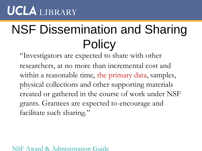# NSF Dissemination and Sharing **Policy**

"Investigators are expected to share with other researchers, at no more than incremental cost and within a reasonable time, the primary data, samples, physical collections and other supporting materials created or gathered in the course of work under NSF grants. Grantees are expected to encourage and facilitate such sharing."

#### [NSF Award & Administration Guide](http://www.nsf.gov/pubs/policydocs/pappguide/nsf11001/aag_6.jsp)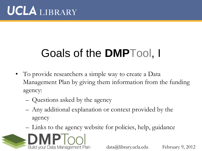# Goals of the **DMP**Tool, I

- To provide researchers a simple way to create a Data Management Plan by giving them information from the funding agency:
	- Questions asked by the agency
	- Any additional explanation or context provided by the agency
	- Links to the agency website for policies, help, guidance

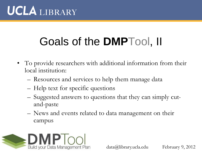## Goals of the **DMP**Tool, II

- To provide researchers with additional information from their local institution:
	- Resources and services to help them manage data
	- Help text for specific questions
	- Suggested answers to questions that they can simply cutand-paste
	- News and events related to data management on their campus

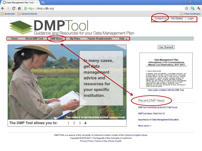**Bookmarks G** General Interest

Data Management Plan Tool | | X | 42

← → C n A https://dmp.cdlib.org



Other bookmarks

- 同

x

Get Started | Login Contact Us

### **DMPTOO**

Guidance and Resources for your Data Management Plan

**My Plans** 

Home



**Funder Requirements** Help  $_{\Psi}$ 



DMPTOOL is a service of the University of California Curation Center of the California Digital Library Copyright @ 2010-2011 The Regents of the University of California Privacy Policy | Terms of Use | Photo Credits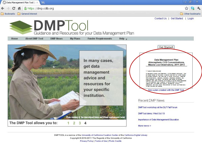Data Management Plan Tool | | X | 4

← → C A A https://dmp.cdlib.org

**Bookmarks G** General Interest

□同 x



Other bookmarks

Contact Us | Get Started | Login

### **DMPTool** Guidance and Resources for your Data Management Plan

Home

**About DMP Tool DMP News**  **My Plans** 

**Funder Requirements** Help  $_{\rm w}$ 



DMPTOOL is a service of the University of California Curation Center of the California Digital Library Copyright @ 2010-2011 The Regents of the University of California Privacy Policy | Terms of Use | Photo Credits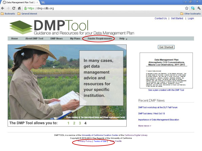C A A https://dmp.cdlib.org



**Bookmarks G** General Interest

Data Management Plan Tool | | X | 42

Contact Us | Get Started | Login

#### **DMPTool** Guidance and Resources for your Data Management Plan **Funder Requirements DMP News** My Plans Help  $_{\rm w}$ Home **About DMP Tool** Get Started! In many cases, Data Management Plan Atmospheric CO2 Concentrations, Mauna Loa Observatory, 2011-2013 get data 1. Types of date produced management Air samples at Mauna Los Observatory will be collected continuously from in intakes located at five towers - a perinal tower and four towers located advice and compass quadrants. Rev data files will contain continuously measured COZ concentrations, calibration standards, references standards, daily check standards, and blanks. The sample lines located at compass guadrants were used to examine the influence of source effects associated with wind directions [3,4]. In addition to the CO2 data, we will necord resources for vesther data (wind speed and direction, temperature, humidity mecinistion, and cloud cover). Site conditions at Mauna Los Observatory wil also be noted and relained. your specific See a plan created with the DMP Tool institution. Recent DMP News DMPTool workshop at the DLF Fall Forum DMPTool demo: Wed Oct 19 Photo courtesy of the International Maize and Wheat Improvement Center Importance of Data Management Education The DMP Tool allows you to: 3  $\overline{2}$  $\overline{4}$ More news >

DMPTOOL is a service of the University of California Curation Center of the California Digital Library

Copyright @ 2010-2011 The Regents of the University of California Privacy Policy | Terms of Use | Tripto Credits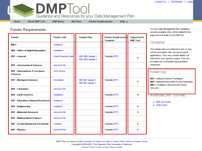

**DMP News** 

Home

**About DMP Tool** 

**My Plans** 

**Funder Requirements** 

Help  $_{\rm w}$ 

**Funder Requirements** 

| <b>Funder</b>                                       | <b>Funder Link</b>   | Sample Plan                          | Funder Requirements<br>Template | Supported in<br><b>DMP Tool</b> |
|-----------------------------------------------------|----------------------|--------------------------------------|---------------------------------|---------------------------------|
| IML S                                               | Guidance             |                                      |                                 |                                 |
| NEH - Office of Digital Humanities                  | Guidelines           |                                      |                                 |                                 |
| <b>NSF - General</b>                                | Grant Proposal Guide | NSF-GEN Sample 1<br>NSF-GEN Sample 2 | Template [RTF]                  | ⊛                               |
| <b>NSF - Astronomical Sciences</b>                  | Advice to Pls        |                                      |                                 |                                 |
| <b>NSF - Atmospheric &amp; Geospace</b><br>Sciences | <b>AGS Advice</b>    |                                      |                                 |                                 |
| <b>NSF - Biological Sciences</b>                    | Information          | NSF-BIO Sample 1<br>NSF-BIO Sample 2 | Template [RTF]                  | ø                               |
| <b>NSF - Chemistry</b>                              | Advice to Pls        |                                      |                                 |                                 |
| <b>NSF - Earth Sciences</b>                         | Guidelines           |                                      | Template [RTF]                  | ⊛                               |
| <b>NSF – Education &amp; Human Resources</b>        | Guidance             |                                      |                                 |                                 |
| <b>NSF – Engineering</b>                            | Guidance             |                                      | Template [RTF]                  | ⊛                               |
| <b>NSF - Materials Research</b>                     | Advice to Pls        |                                      | Template [RTF]                  | ⊛                               |
| <b>NSF - Mathematical Sciences</b>                  | Advice to Pls        |                                      |                                 |                                 |
| NSF - Social, Behavioral & Economic                 | Contents             |                                      | Template [RTF]                  | ⊛                               |
| <b>NSF - Physics</b>                                | Advice to Pls        |                                      | Template [RTF]                  | ⊛                               |

As new Data Management Plan Guidelines become available, they will be added to this page and eventually to the DMPTool.

#### Disclaimer

The sample plans provided here may or may not be associated with successful grant applications. They may contain details not relevant to your specific project. They are provided only to illustrate representative responses.

#### Funder Key

**NSF** = National Science Foundation **NEH** = National Endowment for the Humanities **IMLS** = Institute of Museum and Library **Services** 

#### Additional DMP Tool Help

- DMP Tool Guide

Video Demo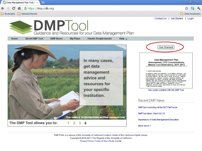Data Management Plan Tool | | X | 42

→ C A A https://dmp.cdlib.org

**Bookmarks G** General Interest

□同 x



Other bookmarks

Contact Us | Get Started | Login

### **DMPTOO** Guidance and Resources for your Data Management Plan

**My Plans** 

Home

**About DMP Tool** 

**DMP News** 

**Funder Requirements** Help  $_{\rm w}$ 



DMPTOOL is a service of the University of California Curation Center of the California Digital Library Copyright @ 2010-2011 The Regents of the University of California Privacy Policy | Terms of Use | Photo Credits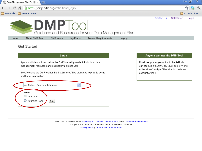◯ Data Management Plan Tool | | X  $\overline{+}$ 

> A https://dmp.cdlib.org/institutional\_login  $\bullet$



 $\mathbf{C}$ 

O

⇔∣@∣  $\boldsymbol{\mathsf{x}}$ 



Contact Us | Get Started | Login

#### **DMPTool** Guidance and Resources for your Data Management Plan **My Plans About DMP Tool DMP News Funder Requirements** Home Help  $_{\rm w}$

#### **Get Started**

| Login                                                                                                                                   |
|-----------------------------------------------------------------------------------------------------------------------------------------|
| If your institution is listed below the DMP tool will provide links to local data<br>management resources and support available to you. |
| If you're using the DMP tool for the first time you'll be prompted to provide some                                                      |
| ---- Select Your Institution ----                                                                                                       |
| G٥                                                                                                                                      |
|                                                                                                                                         |

#### Anyone can use the DMP Tool

Don't see your organization in the list? You can still use the DMP Tool... just select "None of the above" and you'll be able to create an account or login.

DMPTOOL is a service of the University of California Curation Center of the California Digital Library Copyright @ 2010-2011 The Regents of the University of California Privacy Policy | Terms of Use | Photo Credits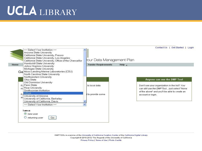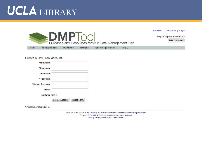

#### Create a DMPTool account

| * First name            |                       |                   |
|-------------------------|-----------------------|-------------------|
| * Last name             |                       |                   |
| * Username              |                       |                   |
| * Password              |                       |                   |
| * Repeat Password       |                       |                   |
| * Email                 |                       |                   |
| <b>Institution UCLA</b> |                       |                   |
|                         | <b>Create Account</b> | <b>Reset Form</b> |

\* indicates a required item.

DMPTOOL is a service of the University of California Curation Center of the California Digital Library Copyright @ 2010-2012 The Regents of the University of California Privacy Policy | Terms of Use | Photo Credits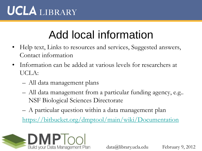### Add local information

- Help text, Links to resources and services, Suggested answers, Contact information
- Information can be added at various levels for researchers at UCLA:
	- All data management plans
	- All data management from a particular funding agency, e.g.. NSF Biological Sciences Directorate
	- A particular question within a data management plan

<https://bitbucket.org/dmptool/main/wiki/Documentation>

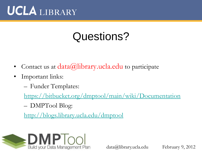### Questions?

- Contact us at  $data(a)$ library.ucla.edu to participate
- Important links:
	- Funder Templates:

<https://bitbucket.org/dmptool/main/wiki/Documentation>

– DMPTool Blog:

<http://blogs.library.ucla.edu/dmptool>